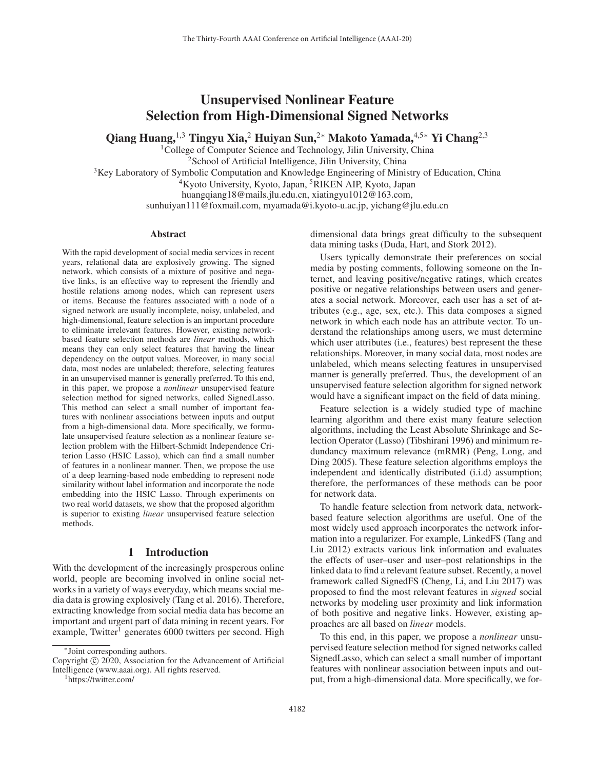# Unsupervised Nonlinear Feature Selection from High-Dimensional Signed Networks

Qiang Huang,<sup>1,3</sup> Tingyu Xia,<sup>2</sup> Huiyan Sun,<sup>2∗</sup> Makoto Yamada,<sup>4,5</sup>\* Yi Chang<sup>2,3</sup>

<sup>1</sup>College of Computer Science and Technology, Jilin University, China

<sup>2</sup>School of Artificial Intelligence, Jilin University, China

<sup>3</sup>Key Laboratory of Symbolic Computation and Knowledge Engineering of Ministry of Education, China

<sup>4</sup>Kyoto University, Kyoto, Japan, <sup>5</sup>RIKEN AIP, Kyoto, Japan

huangqiang18@mails.jlu.edu.cn, xiatingyu1012@163.com,

sunhuiyan111@foxmail.com, myamada@i.kyoto-u.ac.jp, yichang@jlu.edu.cn

#### Abstract

With the rapid development of social media services in recent years, relational data are explosively growing. The signed network, which consists of a mixture of positive and negative links, is an effective way to represent the friendly and hostile relations among nodes, which can represent users or items. Because the features associated with a node of a signed network are usually incomplete, noisy, unlabeled, and high-dimensional, feature selection is an important procedure to eliminate irrelevant features. However, existing networkbased feature selection methods are *linear* methods, which means they can only select features that having the linear dependency on the output values. Moreover, in many social data, most nodes are unlabeled; therefore, selecting features in an unsupervised manner is generally preferred. To this end, in this paper, we propose a *nonlinear* unsupervised feature selection method for signed networks, called SignedLasso. This method can select a small number of important features with nonlinear associations between inputs and output from a high-dimensional data. More specifically, we formulate unsupervised feature selection as a nonlinear feature selection problem with the Hilbert-Schmidt Independence Criterion Lasso (HSIC Lasso), which can find a small number of features in a nonlinear manner. Then, we propose the use of a deep learning-based node embedding to represent node similarity without label information and incorporate the node embedding into the HSIC Lasso. Through experiments on two real world datasets, we show that the proposed algorithm is superior to existing *linear* unsupervised feature selection methods.

## 1 Introduction

With the development of the increasingly prosperous online world, people are becoming involved in online social networks in a variety of ways everyday, which means social media data is growing explosively (Tang et al. 2016). Therefore, extracting knowledge from social media data has become an important and urgent part of data mining in recent years. For example, Twitter<sup>1</sup> generates 6000 twitters per second. High

dimensional data brings great difficulty to the subsequent data mining tasks (Duda, Hart, and Stork 2012).

Users typically demonstrate their preferences on social media by posting comments, following someone on the Internet, and leaving positive/negative ratings, which creates positive or negative relationships between users and generates a social network. Moreover, each user has a set of attributes (e.g., age, sex, etc.). This data composes a signed network in which each node has an attribute vector. To understand the relationships among users, we must determine which user attributes (i.e., features) best represent the these relationships. Moreover, in many social data, most nodes are unlabeled, which means selecting features in unsupervised manner is generally preferred. Thus, the development of an unsupervised feature selection algorithm for signed network would have a significant impact on the field of data mining.

Feature selection is a widely studied type of machine learning algorithm and there exist many feature selection algorithms, including the Least Absolute Shrinkage and Selection Operator (Lasso) (Tibshirani 1996) and minimum redundancy maximum relevance (mRMR) (Peng, Long, and Ding 2005). These feature selection algorithms employs the independent and identically distributed (i.i.d) assumption; therefore, the performances of these methods can be poor for network data.

To handle feature selection from network data, networkbased feature selection algorithms are useful. One of the most widely used approach incorporates the network information into a regularizer. For example, LinkedFS (Tang and Liu 2012) extracts various link information and evaluates the effects of user–user and user–post relationships in the linked data to find a relevant feature subset. Recently, a novel framework called SignedFS (Cheng, Li, and Liu 2017) was proposed to find the most relevant features in *signed* social networks by modeling user proximity and link information of both positive and negative links. However, existing approaches are all based on *linear* models.

To this end, in this paper, we propose a *nonlinear* unsupervised feature selection method for signed networks called SignedLasso, which can select a small number of important features with nonlinear association between inputs and output, from a high-dimensional data. More specifically, we for-

<sup>∗</sup>Joint corresponding authors.

Copyright  $\odot$  2020, Association for the Advancement of Artificial Intelligence (www.aaai.org). All rights reserved.

https://twitter.com/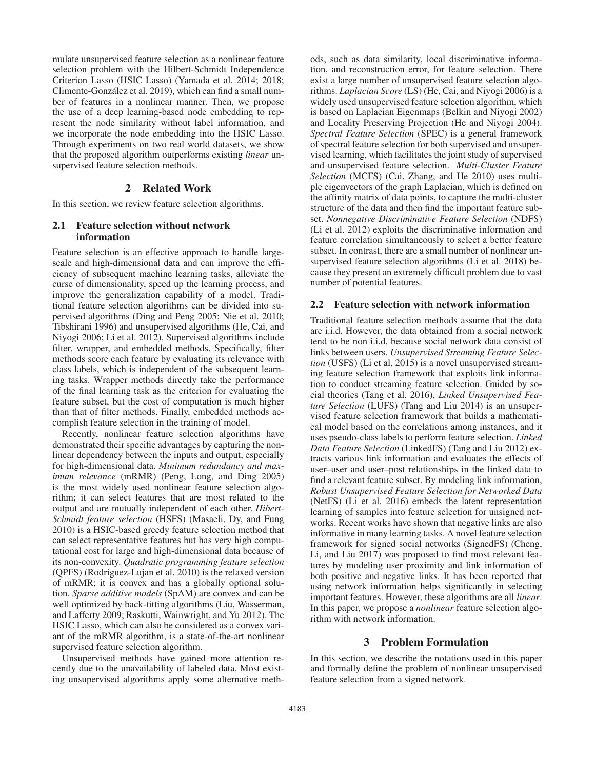mulate unsupervised feature selection as a nonlinear feature selection problem with the Hilbert-Schmidt Independence Criterion Lasso (HSIC Lasso) (Yamada et al. 2014; 2018; Climente-Gonzalez et al. 2019), which can find a small num- ´ ber of features in a nonlinear manner. Then, we propose the use of a deep learning-based node embedding to represent the node similarity without label information, and we incorporate the node embedding into the HSIC Lasso. Through experiments on two real world datasets, we show that the proposed algorithm outperforms existing *linear* unsupervised feature selection methods.

## 2 Related Work

In this section, we review feature selection algorithms.

## 2.1 Feature selection without network information

Feature selection is an effective approach to handle largescale and high-dimensional data and can improve the efficiency of subsequent machine learning tasks, alleviate the curse of dimensionality, speed up the learning process, and improve the generalization capability of a model. Traditional feature selection algorithms can be divided into supervised algorithms (Ding and Peng 2005; Nie et al. 2010; Tibshirani 1996) and unsupervised algorithms (He, Cai, and Niyogi 2006; Li et al. 2012). Supervised algorithms include filter, wrapper, and embedded methods. Specifically, filter methods score each feature by evaluating its relevance with class labels, which is independent of the subsequent learning tasks. Wrapper methods directly take the performance of the final learning task as the criterion for evaluating the feature subset, but the cost of computation is much higher than that of filter methods. Finally, embedded methods accomplish feature selection in the training of model.

Recently, nonlinear feature selection algorithms have demonstrated their specific advantages by capturing the nonlinear dependency between the inputs and output, especially for high-dimensional data. *Minimum redundancy and maximum relevance* (mRMR) (Peng, Long, and Ding 2005) is the most widely used nonlinear feature selection algorithm; it can select features that are most related to the output and are mutually independent of each other. *Hibert-Schmidt feature selection* (HSFS) (Masaeli, Dy, and Fung 2010) is a HSIC-based greedy feature selection method that can select representative features but has very high computational cost for large and high-dimensional data because of its non-convexity. *Quadratic programming feature selection* (QPFS) (Rodriguez-Lujan et al. 2010) is the relaxed version of mRMR; it is convex and has a globally optional solution. *Sparse additive models* (SpAM) are convex and can be well optimized by back-fitting algorithms (Liu, Wasserman, and Lafferty 2009; Raskutti, Wainwright, and Yu 2012). The HSIC Lasso, which can also be considered as a convex variant of the mRMR algorithm, is a state-of-the-art nonlinear supervised feature selection algorithm.

Unsupervised methods have gained more attention recently due to the unavailability of labeled data. Most existing unsupervised algorithms apply some alternative methods, such as data similarity, local discriminative information, and reconstruction error, for feature selection. There exist a large number of unsupervised feature selection algorithms. *Laplacian Score* (LS) (He, Cai, and Niyogi 2006) is a widely used unsupervised feature selection algorithm, which is based on Laplacian Eigenmaps (Belkin and Niyogi 2002) and Locality Preserving Projection (He and Niyogi 2004). *Spectral Feature Selection* (SPEC) is a general framework of spectral feature selection for both supervised and unsupervised learning, which facilitates the joint study of supervised and unsupervised feature selection. *Multi-Cluster Feature Selection* (MCFS) (Cai, Zhang, and He 2010) uses multiple eigenvectors of the graph Laplacian, which is defined on the affinity matrix of data points, to capture the multi-cluster structure of the data and then find the important feature subset. *Nonnegative Discriminative Feature Selection* (NDFS) (Li et al. 2012) exploits the discriminative information and feature correlation simultaneously to select a better feature subset. In contrast, there are a small number of nonlinear unsupervised feature selection algorithms (Li et al. 2018) because they present an extremely difficult problem due to vast number of potential features.

## 2.2 Feature selection with network information

Traditional feature selection methods assume that the data are i.i.d. However, the data obtained from a social network tend to be non i.i.d, because social network data consist of links between users. *Unsupervised Streaming Feature Selection* (USFS) (Li et al. 2015) is a novel unsupervised streaming feature selection framework that exploits link information to conduct streaming feature selection. Guided by social theories (Tang et al. 2016), *Linked Unsupervised Feature Selection* (LUFS) (Tang and Liu 2014) is an unsupervised feature selection framework that builds a mathematical model based on the correlations among instances, and it uses pseudo-class labels to perform feature selection. *Linked Data Feature Selection* (LinkedFS) (Tang and Liu 2012) extracts various link information and evaluates the effects of user–user and user–post relationships in the linked data to find a relevant feature subset. By modeling link information, *Robust Unsupervised Feature Selection for Networked Data* (NetFS) (Li et al. 2016) embeds the latent representation learning of samples into feature selection for unsigned networks. Recent works have shown that negative links are also informative in many learning tasks. A novel feature selection framework for signed social networks (SignedFS) (Cheng, Li, and Liu 2017) was proposed to find most relevant features by modeling user proximity and link information of both positive and negative links. It has been reported that using network information helps significantly in selecting important features. However, these algorithms are all *linear*. In this paper, we propose a *nonlinear* feature selection algorithm with network information.

## 3 Problem Formulation

In this section, we describe the notations used in this paper and formally define the problem of nonlinear unsupervised feature selection from a signed network.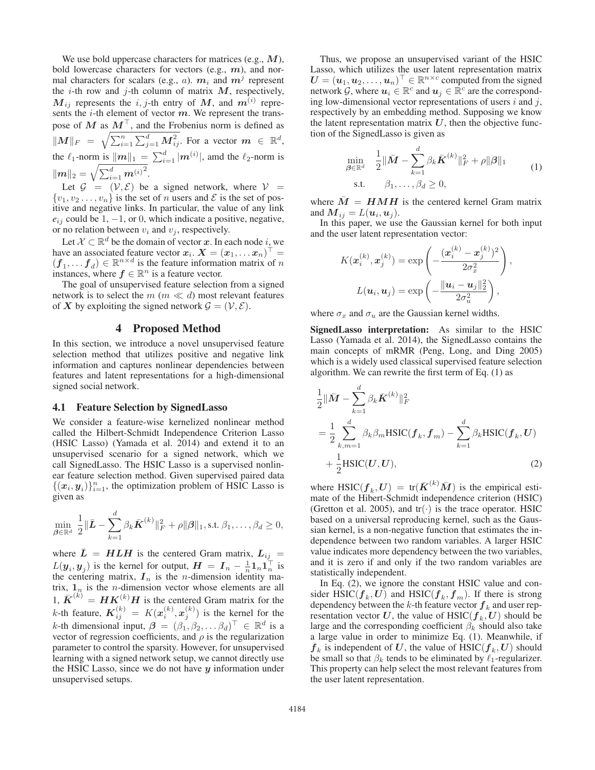We use bold uppercase characters for matrices (e.g., *M*), bold lowercase characters for vectors (e.g., *m*), and normal characters for scalars (e.g., a).  $m_i$  and  $m^j$  represent the  $i$ -th row and  $j$ -th column of matrix  $M$ , respectively,  $M_{ij}$  represents the i, j-th entry of  $M$ , and  $m^{(i)}$  represents the  $i$ -th element of vector  $m$ . We represent the transpose of  $M$  as  $M^{\perp}$ , and the Frobenius norm is defined as  $\|M\|_F = \sqrt{\sum_{i=1}^n \sum_{j=1}^d M_{ij}^2}$ . For a vector  $m \in \mathbb{R}^d$ , the  $\ell_1$ -norm is  $||m||_1 = \sum_{i=1}^d |m^{(i)}|$ , amd the  $\ell_2$ -norm is  $\|\boldsymbol{m}\|_2 = \sqrt{\sum_{i=1}^d \boldsymbol{m}^{(i)^2}}.$ 

Let  $\mathcal{G} = (\mathcal{V}, \mathcal{E})$  be a signed network, where  $\mathcal{V} =$  $\{v_1, v_2 \ldots, v_n\}$  is the set of n users and  $\mathcal E$  is the set of positive and negative links. In particular, the value of any link  $e_{ij}$  could be 1,  $-1$ , or 0, which indicate a positive, negative, or no relation between  $v_i$  and  $v_j$ , respectively.

Let  $\mathcal{X} \subset \mathbb{R}^d$  be the domain of vector *x*. In each node *i*, we have an associated feature vector  $x_i$ .  $X = (x_1, \ldots x_n)^\top =$  $(f_1, \ldots, f_d) \in \mathbb{R}^{n \times d}$  is the feature information matrix of n instances, where  $f \in \mathbb{R}^n$  is a feature vector.

The goal of unsupervised feature selection from a signed network is to select the  $m \, (m \ll d)$  most relevant features of *X* by exploiting the signed network  $\mathcal{G} = (\mathcal{V}, \mathcal{E})$ .

## 4 Proposed Method

In this section, we introduce a novel unsupervised feature selection method that utilizes positive and negative link information and captures nonlinear dependencies between features and latent representations for a high-dimensional signed social network.

#### 4.1 Feature Selection by SignedLasso

We consider a feature-wise kernelized nonlinear method called the Hilbert-Schmidt Independence Criterion Lasso (HSIC Lasso) (Yamada et al. 2014) and extend it to an unsupervised scenario for a signed network, which we call SignedLasso. The HSIC Lasso is a supervised nonlinear feature selection method. Given supervised paired data  $\{(x_i, y_i)\}_{i=1}^n$ , the optimization problem of HSIC Lasso is given as

$$
\min_{\boldsymbol{\beta}\in\mathbb{R}^d} \frac{1}{2} \|\bar{\boldsymbol{L}} - \sum_{k=1}^d \beta_k \bar{\boldsymbol{K}}^{(k)}\|_F^2 + \rho \|\boldsymbol{\beta}\|_1, \text{s.t. } \beta_1, \ldots, \beta_d \ge 0,
$$

where  $\bar{L} = H L H$  is the centered Gram matrix,  $L_{ij}$  =  $L(\mathbf{y}_i, \mathbf{y}_j)$  is the kernel for output,  $\mathbf{H} = \mathbf{I}_n - \frac{1}{n} \mathbf{1}_n \mathbf{1}_n^\top$  is the centering matrix,  $I_n$  is the *n*-dimension identity matrix,  $\mathbf{1}_n$  is the *n*-dimension vector whose elements are all  $1, \bar{K}^{(k)} = HK^{(k)}H$  is the centered Gram matrix for the *k*-th feature,  $K_{ij}^{(k)} = K(x_i^{(k)}, x_j^{(k)})$  is the kernel for the k-th dimensional input,  $\beta = (\beta_1, \beta_2, \dots \beta_d)^\top \in \mathbb{R}^d$  is a vector of regression coefficients, and  $\rho$  is the regularization parameter to control the sparsity. However, for unsupervised learning with a signed network setup, we cannot directly use the HSIC Lasso, since we do not have *y* information under unsupervised setups.

Thus, we propose an unsupervised variant of the HSIC Lasso, which utilizes the user latent representation matrix  $U = (\boldsymbol{u}_1, \boldsymbol{u}_2, \dots, \boldsymbol{u}_n)^\top \in \mathbb{R}^{n \times c}$  computed from the signed network G, where  $u_i \in \mathbb{R}^c$  and  $u_j \in \mathbb{R}^c$  are the corresponding low-dimensional vector representations of users  $i$  and  $j$ , respectively by an embedding method. Supposing we know the latent representation matrix  $U$ , then the objective function of the SignedLasso is given as

$$
\min_{\beta \in \mathbb{R}^d} \quad \frac{1}{2} \|\bar{M} - \sum_{k=1}^d \beta_k \bar{K}^{(k)}\|_F^2 + \rho \|\beta\|_1
$$
\ns.t.

\n
$$
\beta_1, \ldots, \beta_d \ge 0,
$$
\n(1)

where  $\overline{M} = HMH$  is the centered kernel Gram matrix and  $M_{ij} = L(\mathbf{u}_i, \mathbf{u}_j)$ .

In this paper, we use the Gaussian kernel for both input and the user latent representation vector:

$$
K(\boldsymbol{x}_i^{(k)}, \boldsymbol{x}_j^{(k)}) = \exp\left(-\frac{(\boldsymbol{x}_i^{(k)} - \boldsymbol{x}_j^{(k)})^2}{2\sigma_x^2}\right),
$$

$$
L(\boldsymbol{u}_i, \boldsymbol{u}_j) = \exp\left(-\frac{\|\boldsymbol{u}_i - \boldsymbol{u}_j\|_2^2}{2\sigma_u^2}\right),
$$

where  $\sigma_x$  and  $\sigma_u$  are the Gaussian kernel widths.

SignedLasso interpretation: As similar to the HSIC Lasso (Yamada et al. 2014), the SignedLasso contains the main concepts of mRMR (Peng, Long, and Ding 2005) which is a widely used classical supervised feature selection algorithm. We can rewrite the first term of Eq. (1) as

$$
\frac{1}{2} \|\bar{M} - \sum_{k=1}^{d} \beta_k \bar{K}^{(k)}\|_F^2
$$
\n
$$
= \frac{1}{2} \sum_{k,m=1}^{d} \beta_k \beta_m \text{HSIC}(\boldsymbol{f}_k, \boldsymbol{f}_m) - \sum_{k=1}^{d} \beta_k \text{HSIC}(\boldsymbol{f}_k, \boldsymbol{U})
$$
\n
$$
+ \frac{1}{2} \text{HSIC}(\boldsymbol{U}, \boldsymbol{U}), \tag{2}
$$

where  $\text{HSIC}(\bm{f}_k, \bm{U}) = \text{tr}(\bar{\bm{K}}^{(k)}\bar{\bm{M}})$  is the empirical estimate of the Hibert-Schmidt independence criterion (HSIC) (Gretton et al. 2005), and  $tr(\cdot)$  is the trace operator. HSIC based on a universal reproducing kernel, such as the Gaussian kernel, is a non-negative function that estimates the independence between two random variables. A larger HSIC value indicates more dependency between the two variables, and it is zero if and only if the two random variables are statistically independent.

In Eq. (2), we ignore the constant HSIC value and consider HSIC( $f_k, U$ ) and HSIC( $f_k, f_m$ ). If there is strong dependency between the  $k$ -th feature vector  $f_k$  and user representation vector U, the value of  $HSL(T_k, U)$  should be large and the corresponding coefficient  $\beta_k$  should also take a large value in order to minimize Eq. (1). Meanwhile, if  $f_k$  is independent of U, the value of  $\text{HSIC}(f_k, U)$  should be small so that  $\beta_k$  tends to be eliminated by  $\ell_1$ -regularizer. This property can help select the most relevant features from the user latent representation.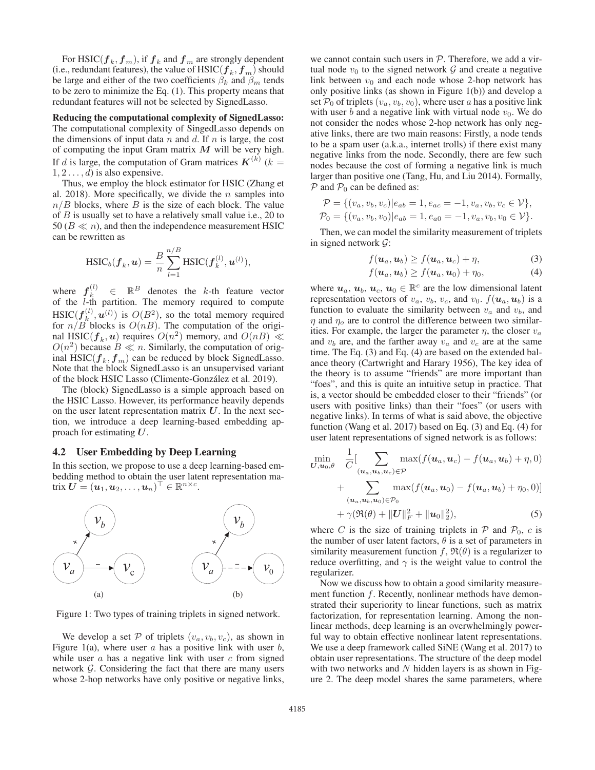For HSIC( $f_k, f_m$ ), if  $f_k$  and  $f_m$  are strongly dependent (i.e., redundant features), the value of  $\text{HSIC}(f_k, f_m)$  should be large and either of the two coefficients  $\beta_k$  and  $\beta_m$  tends to be zero to minimize the Eq. (1). This property means that redundant features will not be selected by SignedLasso.

## Reducing the computational complexity of SignedLasso: The computational complexity of SingedLasso depends on the dimensions of input data  $n$  and  $d$ . If  $n$  is large, the cost of computing the input Gram matrix *M* will be very high. If d is large, the computation of Gram matrices  $\mathbf{K}^{(k)}$  ( $k =$  $1, 2, \ldots, d$  is also expensive.

Thus, we employ the block estimator for HSIC (Zhang et al. 2018). More specifically, we divide the  $n$  samples into  $n/B$  blocks, where B is the size of each block. The value of B is usually set to have a relatively small value i.e., 20 to 50 ( $B \ll n$ ), and then the independence measurement HSIC can be rewritten as

$$
\text{HSIC}_b(\boldsymbol{f}_k, \boldsymbol{u}) = \frac{B}{n} \sum_{l=1}^{n/B} \text{HSIC}(\boldsymbol{f}_k^{(l)}, \boldsymbol{u}^{(l)}),
$$

where  $f_k^{(l)} \in \mathbb{R}^B$  denotes the k-th feature vector of the  $l$ -th partition. The memory required to compute  $\mathrm{HSIC}(\bm{f}_k^{(l)},\bm{u}^{(l)})$  is  $O(B^2),$  so the total memory required for  $n/B$  blocks is  $O(nB)$ . The computation of the original HSIC( $f_k$ , *u*) requires  $O(n^2)$  memory, and  $O(nB) \ll$  $O(n^2)$  because  $B \ll n$ . Similarly, the computation of original  $\text{HSIC}(f_k, f_m)$  can be reduced by block SignedLasso. Note that the block SignedLasso is an unsupervised variant of the block HSIC Lasso (Climente-Gonzalez et al. 2019). ´

The (block) SignedLasso is a simple approach based on the HSIC Lasso. However, its performance heavily depends on the user latent representation matrix *U*. In the next section, we introduce a deep learning-based embedding approach for estimating *U*.

#### 4.2 User Embedding by Deep Learning

In this section, we propose to use a deep learning-based embedding method to obtain the user latent representation ma- $\text{trix } \boldsymbol{U} = (\boldsymbol{u}_1, \boldsymbol{u}_2, \dots, \boldsymbol{u}_n)^\top \in \mathbb{R}^{n \times c}.$ 



Figure 1: Two types of training triplets in signed network.

We develop a set P of triplets  $(v_a, v_b, v_c)$ , as shown in Figure 1(a), where user  $a$  has a positive link with user  $b$ , while user  $a$  has a negative link with user  $c$  from signed network  $\mathcal G$ . Considering the fact that there are many users whose 2-hop networks have only positive or negative links, we cannot contain such users in  $P$ . Therefore, we add a virtual node  $v_0$  to the signed network  $\mathcal G$  and create a negative link between  $v_0$  and each node whose 2-hop network has only positive links (as shown in Figure 1(b)) and develop a set  $P_0$  of triplets  $(v_a, v_b, v_0)$ , where user a has a positive link with user b and a negative link with virtual node  $v_0$ . We do not consider the nodes whose 2-hop network has only negative links, there are two main reasons: Firstly, a node tends to be a spam user (a.k.a., internet trolls) if there exist many negative links from the node. Secondly, there are few such nodes because the cost of forming a negative link is much larger than positive one (Tang, Hu, and Liu 2014). Formally,  $P$  and  $P_0$  can be defined as:

$$
\mathcal{P} = \{ (v_a, v_b, v_c) | e_{ab} = 1, e_{ac} = -1, v_a, v_b, v_c \in \mathcal{V} \},
$$
  

$$
\mathcal{P}_0 = \{ (v_a, v_b, v_0) | e_{ab} = 1, e_{a0} = -1, v_a, v_b, v_0 \in \mathcal{V} \}.
$$

Then, we can model the similarity measurement of triplets in signed network  $\mathcal{G}$ :

$$
f(\boldsymbol{u}_a, \boldsymbol{u}_b) \ge f(\boldsymbol{u}_a, \boldsymbol{u}_c) + \eta, \tag{3}
$$

$$
f(\boldsymbol{u}_a, \boldsymbol{u}_b) \ge f(\boldsymbol{u}_a, \boldsymbol{u}_0) + \eta_0, \tag{4}
$$

where  $u_a, u_b, u_c, u_0 \in \mathbb{R}^c$  are the low dimensional latent representation vectors of  $v_a$ ,  $v_b$ ,  $v_c$ , and  $v_0$ .  $f(\mathbf{u}_a, \mathbf{u}_b)$  is a function to evaluate the similarity between  $v_a$  and  $v_b$ , and  $\eta$  and  $\eta_o$  are to control the difference between two similarities. For example, the larger the parameter  $\eta$ , the closer  $v_a$ and  $v_b$  are, and the farther away  $v_a$  and  $v_c$  are at the same time. The Eq. (3) and Eq. (4) are based on the extended balance theory (Cartwright and Harary 1956), The key idea of the theory is to assume "friends" are more important than "foes", and this is quite an intuitive setup in practice. That is, a vector should be embedded closer to their "friends" (or users with positive links) than their "foes" (or users with negative links). In terms of what is said above, the objective function (Wang et al. 2017) based on Eq. (3) and Eq. (4) for user latent representations of signed network is as follows:

$$
\min_{\mathbf{U},\mathbf{u}_0,\theta} \quad \frac{1}{C} \left[ \sum_{(\mathbf{u}_a,\mathbf{u}_b,\mathbf{u}_c) \in \mathcal{P}} \max(f(\mathbf{u}_a,\mathbf{u}_c) - f(\mathbf{u}_a,\mathbf{u}_b) + \eta,0) \right] + \sum_{(\mathbf{u}_a,\mathbf{u}_b,\mathbf{u}_0) \in \mathcal{P}_0} \max(f(\mathbf{u}_a,\mathbf{u}_0) - f(\mathbf{u}_a,\mathbf{u}_b) + \eta,0) \right] + \gamma(\mathfrak{R}(\theta) + ||\mathbf{U}||_F^2 + ||\mathbf{u}_0||_2^2),
$$
 (5)

where C is the size of training triplets in  $P$  and  $P_0$ , c is the number of user latent factors,  $\theta$  is a set of parameters in similarity measurement function  $f$ ,  $\mathfrak{R}(\theta)$  is a regularizer to reduce overfitting, and  $\gamma$  is the weight value to control the regularizer.

Now we discuss how to obtain a good similarity measurement function  $f$ . Recently, nonlinear methods have demonstrated their superiority to linear functions, such as matrix factorization, for representation learning. Among the nonlinear methods, deep learning is an overwhelmingly powerful way to obtain effective nonlinear latent representations. We use a deep framework called SiNE (Wang et al. 2017) to obtain user representations. The structure of the deep model with two networks and  $N$  hidden layers is as shown in Figure 2. The deep model shares the same parameters, where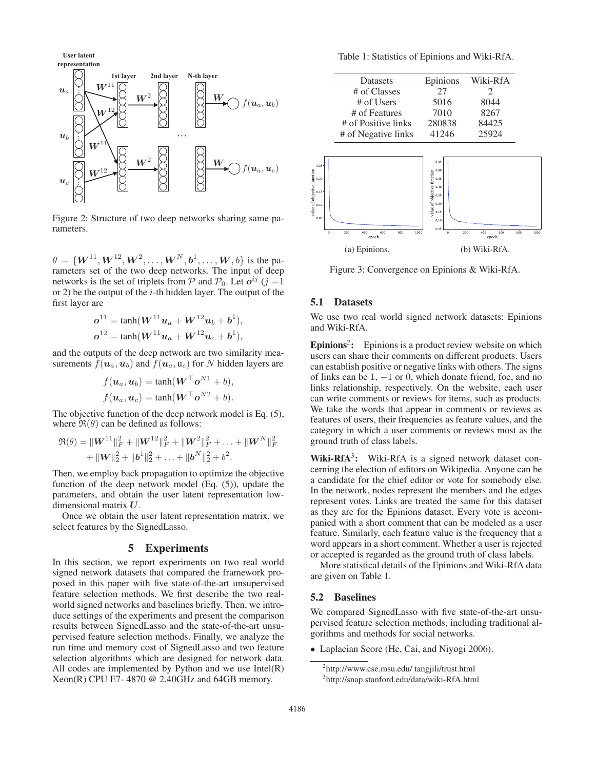

Figure 2: Structure of two deep networks sharing same parameters.

 $\theta = \{W^{11}, W^{12}, W^2, \dots, W^N, b^1, \dots, W, b\}$  is the parameters set of the two deep networks. The input of deep networks is the set of triplets from P and  $P_0$ . Let  $o^{ij}$  (j =1) or 2) be the output of the  $i$ -th hidden layer. The output of the first layer are

$$
\mathbf{o}^{11} = \tanh(\mathbf{W}^{11} \mathbf{u}_a + \mathbf{W}^{12} \mathbf{u}_b + \mathbf{b}^1),
$$
  

$$
\mathbf{o}^{12} = \tanh(\mathbf{W}^{11} \mathbf{u}_a + \mathbf{W}^{12} \mathbf{u}_c + \mathbf{b}^1),
$$

and the outputs of the deep network are two similarity measurements  $f(\boldsymbol{u}_a, \boldsymbol{u}_b)$  and  $f(\boldsymbol{u}_a, \boldsymbol{u}_c)$  for N hidden layers are

$$
f(\boldsymbol{u}_a, \boldsymbol{u}_b) = \tanh(\boldsymbol{W}^\top \boldsymbol{o}^{N1} + b),
$$
  

$$
f(\boldsymbol{u}_a, \boldsymbol{u}_c) = \tanh(\boldsymbol{W}^\top \boldsymbol{o}^{N2} + b).
$$

The objective function of the deep network model is Eq. (5), where  $\mathfrak{R}(\theta)$  can be defined as follows:

$$
\mathfrak{R}(\theta) = \|\mathbf{W}^{11}\|_F^2 + \|\mathbf{W}^{12}\|_F^2 + \|\mathbf{W}^2\|_F^2 + \ldots + \|\mathbf{W}^N\|_F^2 + \|\mathbf{W}\|_2^2 + \|\mathbf{b}^1\|_2^2 + \ldots + \|\mathbf{b}^N\|_2^2 + b^2.
$$

Then, we employ back propagation to optimize the objective function of the deep network model (Eq. (5)), update the parameters, and obtain the user latent representation lowdimensional matrix *U*.

Once we obtain the user latent representation matrix, we select features by the SignedLasso.

#### 5 Experiments

In this section, we report experiments on two real world signed network datasets that compared the framework proposed in this paper with five state-of-the-art unsupervised feature selection methods. We first describe the two realworld signed networks and baselines briefly. Then, we introduce settings of the experiments and present the comparison results between SignedLasso and the state-of-the-art unsupervised feature selection methods. Finally, we analyze the run time and memory cost of SignedLasso and two feature selection algorithms which are designed for network data. All codes are implemented by Python and we use  $Intel(R)$ Xeon(R) CPU E7-4870  $@$  2.40GHz and 64GB memory.

Table 1: Statistics of Epinions and Wiki-RfA.

| Datasets            | Epinions | Wiki-RfA |
|---------------------|----------|----------|
| # of Classes        | 27       | 2        |
| # of Users          | 5016     | 8044     |
| # of Features       | 7010     | 8267     |
| # of Positive links | 280838   | 84425    |
| # of Negative links | 41246    | 25924    |



Figure 3: Convergence on Epinions & Wiki-RfA.

### 5.1 Datasets

We use two real world signed network datasets: Epinions and Wiki-RfA.

Epinions<sup>2</sup>: Epinions is a product review website on which users can share their comments on different products. Users can establish positive or negative links with others. The signs of links can be 1, −1 or 0, which donate friend, foe, and no links relationship, respectively. On the website, each user can write comments or reviews for items, such as products. We take the words that appear in comments or reviews as features of users, their frequencies as feature values, and the category in which a user comments or reviews most as the ground truth of class labels.

Wiki-RfA<sup>3</sup>: Wiki-RfA is a signed network dataset concerning the election of editors on Wikipedia. Anyone can be a candidate for the chief editor or vote for somebody else. In the network, nodes represent the members and the edges represent votes. Links are treated the same for this dataset as they are for the Epinions dataset. Every vote is accompanied with a short comment that can be modeled as a user feature. Similarly, each feature value is the frequency that a word appears in a short comment. Whether a user is rejected or accepted is regarded as the ground truth of class labels.

More statistical details of the Epinions and Wiki-RfA data are given on Table 1.

#### 5.2 Baselines

We compared SignedLasso with five state-of-the-art unsupervised feature selection methods, including traditional algorithms and methods for social networks.

• Laplacian Score (He, Cai, and Niyogi 2006).

<sup>2</sup> http://www.cse.msu.edu/ tangjili/trust.html

<sup>3</sup> http://snap.stanford.edu/data/wiki-RfA.html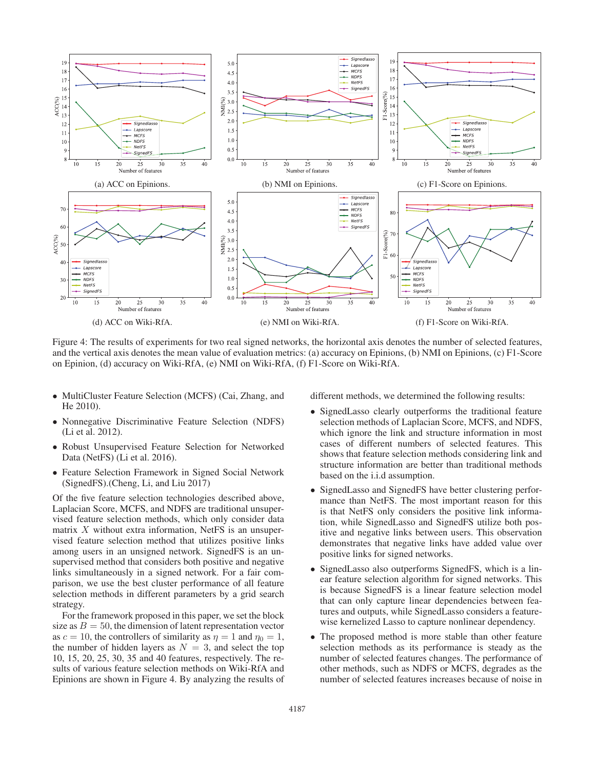

Figure 4: The results of experiments for two real signed networks, the horizontal axis denotes the number of selected features, and the vertical axis denotes the mean value of evaluation metrics: (a) accuracy on Epinions, (b) NMI on Epinions, (c) F1-Score on Epinion, (d) accuracy on Wiki-RfA, (e) NMI on Wiki-RfA, (f) F1-Score on Wiki-RfA.

- MultiCluster Feature Selection (MCFS) (Cai, Zhang, and He 2010).
- Nonnegative Discriminative Feature Selection (NDFS) (Li et al. 2012).
- Robust Unsupervised Feature Selection for Networked Data (NetFS) (Li et al. 2016).
- Feature Selection Framework in Signed Social Network (SignedFS).(Cheng, Li, and Liu 2017)

Of the five feature selection technologies described above, Laplacian Score, MCFS, and NDFS are traditional unsupervised feature selection methods, which only consider data matrix  $X$  without extra information, NetFS is an unsupervised feature selection method that utilizes positive links among users in an unsigned network. SignedFS is an unsupervised method that considers both positive and negative links simultaneously in a signed network. For a fair comparison, we use the best cluster performance of all feature selection methods in different parameters by a grid search strategy.

For the framework proposed in this paper, we set the block size as  $B = 50$ , the dimension of latent representation vector as  $c = 10$ , the controllers of similarity as  $\eta = 1$  and  $\eta_0 = 1$ , the number of hidden layers as  $N = 3$ , and select the top 10, 15, 20, 25, 30, 35 and 40 features, respectively. The results of various feature selection methods on Wiki-RfA and Epinions are shown in Figure 4. By analyzing the results of

different methods, we determined the following results:

- SignedLasso clearly outperforms the traditional feature selection methods of Laplacian Score, MCFS, and NDFS, which ignore the link and structure information in most cases of different numbers of selected features. This shows that feature selection methods considering link and structure information are better than traditional methods based on the i.i.d assumption.
- SignedLasso and SignedFS have better clustering performance than NetFS. The most important reason for this is that NetFS only considers the positive link information, while SignedLasso and SignedFS utilize both positive and negative links between users. This observation demonstrates that negative links have added value over positive links for signed networks.
- SignedLasso also outperforms SignedFS, which is a linear feature selection algorithm for signed networks. This is because SignedFS is a linear feature selection model that can only capture linear dependencies between features and outputs, while SignedLasso considers a featurewise kernelized Lasso to capture nonlinear dependency.
- The proposed method is more stable than other feature selection methods as its performance is steady as the number of selected features changes. The performance of other methods, such as NDFS or MCFS, degrades as the number of selected features increases because of noise in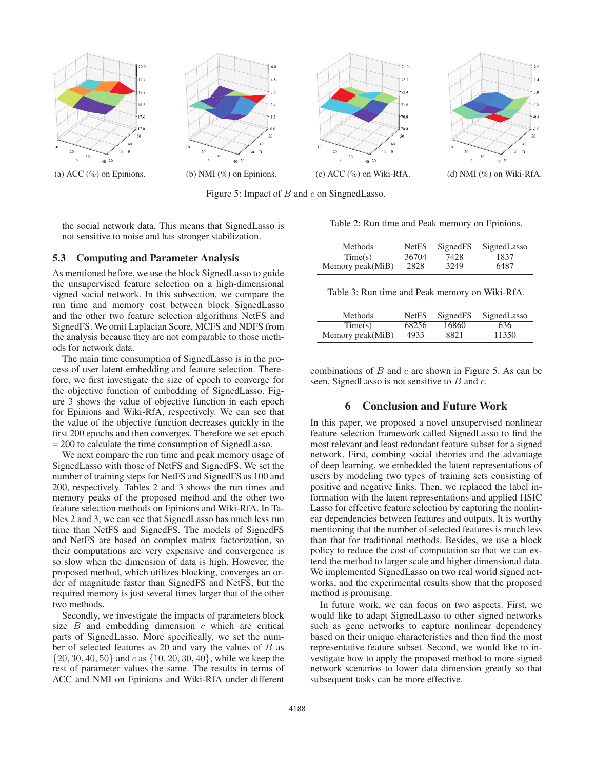

Figure 5: Impact of  $B$  and  $c$  on SingnedLasso.

the social network data. This means that SignedLasso is not sensitive to noise and has stronger stabilization.

#### 5.3 Computing and Parameter Analysis

As mentioned before, we use the block SignedLasso to guide the unsupervised feature selection on a high-dimensional signed social network. In this subsection, we compare the run time and memory cost between block SignedLasso and the other two feature selection algorithms NetFS and SignedFS. We omit Laplacian Score, MCFS and NDFS from the analysis because they are not comparable to those methods for network data.

The main time consumption of SignedLasso is in the process of user latent embedding and feature selection. Therefore, we first investigate the size of epoch to converge for the objective function of embedding of SignedLasso. Figure 3 shows the value of objective function in each epoch for Epinions and Wiki-RfA, respectively. We can see that the value of the objective function decreases quickly in the first 200 epochs and then converges. Therefore we set epoch = 200 to calculate the time consumption of SignedLasso.

We next compare the run time and peak memory usage of SignedLasso with those of NetFS and SignedFS. We set the number of training steps for NetFS and SignedFS as 100 and 200, respectively. Tables 2 and 3 shows the run times and memory peaks of the proposed method and the other two feature selection methods on Epinions and Wiki-RfA. In Tables 2 and 3, we can see that SignedLasso has much less run time than NetFS and SignedFS. The models of SignedFS and NetFS are based on complex matrix factorization, so their computations are very expensive and convergence is so slow when the dimension of data is high. However, the proposed method, which utilizes blocking, converges an order of magnitude faster than SignedFS and NetFS, but the required memory is just several times larger that of the other two methods.

Secondly, we investigate the impacts of parameters block size  $B$  and embedding dimension  $c$  which are critical parts of SignedLasso. More specifically, we set the number of selected features as 20 and vary the values of B as  $\{20, 30, 40, 50\}$  and c as  $\{10, 20, 30, 40\}$ , while we keep the rest of parameter values the same. The results in terms of ACC and NMI on Epinions and Wiki-RfA under different

Table 2: Run time and Peak memory on Epinions.

| <b>Methods</b>   | <b>NetFS</b> | SignedFS | SignedLasso |
|------------------|--------------|----------|-------------|
| Time(s)          | 36704        | 7428     | 1837        |
| Memory peak(MiB) | 2828         | 3249     | 6487        |

Table 3: Run time and Peak memory on Wiki-RfA.

| Methods          | <b>NetFS</b> | SignedFS | SignedLasso |
|------------------|--------------|----------|-------------|
| Time(s)          | 68256        | 16860    | 636         |
| Memory peak(MiB) | 4933         | 8821     | 11350       |

combinations of  $B$  and  $c$  are shown in Figure 5. As can be seen, SignedLasso is not sensitive to  $B$  and  $c$ .

# 6 Conclusion and Future Work

In this paper, we proposed a novel unsupervised nonlinear feature selection framework called SignedLasso to find the most relevant and least redundant feature subset for a signed network. First, combing social theories and the advantage of deep learning, we embedded the latent representations of users by modeling two types of training sets consisting of positive and negative links. Then, we replaced the label information with the latent representations and applied HSIC Lasso for effective feature selection by capturing the nonlinear dependencies between features and outputs. It is worthy mentioning that the number of selected features is much less than that for traditional methods. Besides, we use a block policy to reduce the cost of computation so that we can extend the method to larger scale and higher dimensional data. We implemented SignedLasso on two real world signed networks, and the experimental results show that the proposed method is promising.

In future work, we can focus on two aspects. First, we would like to adapt SignedLasso to other signed networks such as gene networks to capture nonlinear dependency based on their unique characteristics and then find the most representative feature subset. Second, we would like to investigate how to apply the proposed method to more signed network scenarios to lower data dimension greatly so that subsequent tasks can be more effective.